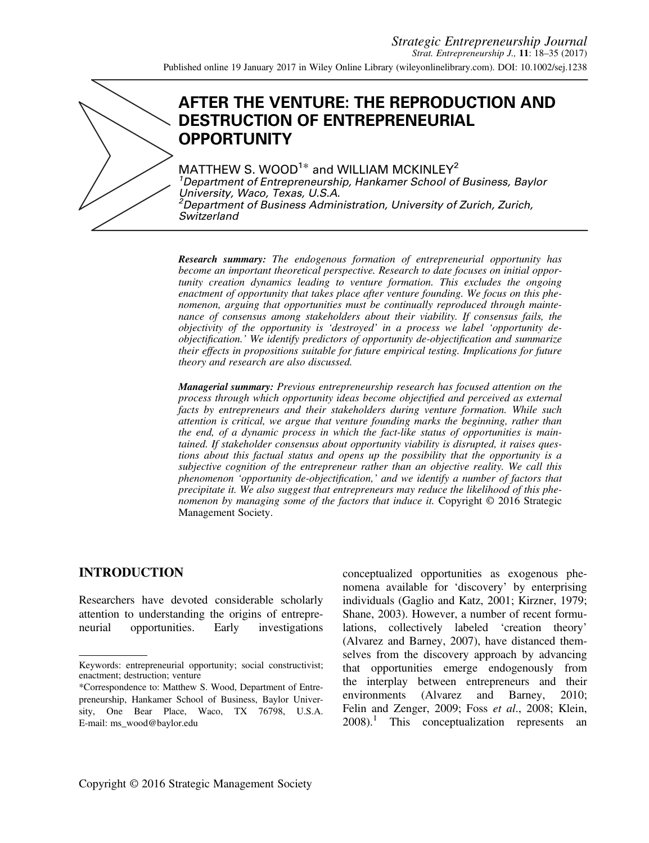

# AFTER THE VENTURE: THE REPRODUCTION AND DESTRUCTION OF ENTREPRENEURIAL **OPPORTUNITY**

MATTHEW S. WOOD<sup>1\*</sup> and WILLIAM MCKINLEY<sup>2</sup> <sup>1</sup> Department of Entrepreneurship, Hankamer School of Business, Baylor University, Waco, Texas, U.S.A. 2 Department of Business Administration, University of Zurich, Zurich, **Switzerland** 

Research summary: The endogenous formation of entrepreneurial opportunity has become an important theoretical perspective. Research to date focuses on initial opportunity creation dynamics leading to venture formation. This excludes the ongoing enactment of opportunity that takes place after venture founding. We focus on this phenomenon, arguing that opportunities must be continually reproduced through maintenance of consensus among stakeholders about their viability. If consensus fails, the objectivity of the opportunity is 'destroyed' in a process we label 'opportunity deobjectification.' We identify predictors of opportunity de-objectification and summarize their effects in propositions suitable for future empirical testing. Implications for future theory and research are also discussed.

Managerial summary: Previous entrepreneurship research has focused attention on the process through which opportunity ideas become objectified and perceived as external facts by entrepreneurs and their stakeholders during venture formation. While such attention is critical, we argue that venture founding marks the beginning, rather than the end, of a dynamic process in which the fact-like status of opportunities is maintained. If stakeholder consensus about opportunity viability is disrupted, it raises questions about this factual status and opens up the possibility that the opportunity is a subjective cognition of the entrepreneur rather than an objective reality. We call this phenomenon 'opportunity de-objectification,' and we identify a number of factors that precipitate it. We also suggest that entrepreneurs may reduce the likelihood of this phenomenon by managing some of the factors that induce it. Copyright © 2016 Strategic Management Society.

### INTRODUCTION

Researchers have devoted considerable scholarly attention to understanding the origins of entrepreneurial opportunities. Early investigations opportunities.

conceptualized opportunities as exogenous phenomena available for 'discovery' by enterprising individuals (Gaglio and Katz, 2001; Kirzner, 1979; Shane, 2003). However, a number of recent formulations, collectively labeled 'creation theory' (Alvarez and Barney, 2007), have distanced themselves from the discovery approach by advancing that opportunities emerge endogenously from the interplay between entrepreneurs and their environments (Alvarez and Barney, 2010; Felin and Zenger, 2009; Foss et al., 2008; Klein,  $2008$ .<sup>1</sup> This conceptualization represents an

Keywords: entrepreneurial opportunity; social constructivist; enactment; destruction; venture

<sup>\*</sup>Correspondence to: Matthew S. Wood, Department of Entrepreneurship, Hankamer School of Business, Baylor University, One Bear Place, Waco, TX 76798, U.S.A. E-mail: [ms\\_wood@baylor.edu](mailto:ms_wood@baylor.edu)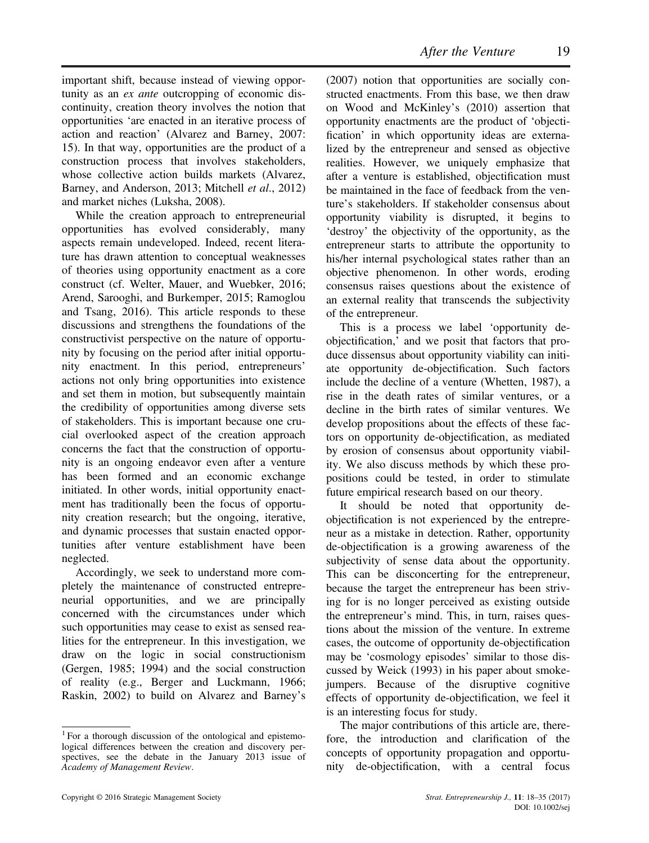important shift, because instead of viewing opportunity as an ex ante outcropping of economic discontinuity, creation theory involves the notion that opportunities 'are enacted in an iterative process of action and reaction' (Alvarez and Barney, 2007: 15). In that way, opportunities are the product of a construction process that involves stakeholders, whose collective action builds markets (Alvarez, Barney, and Anderson, 2013; Mitchell et al., 2012) and market niches (Luksha, 2008).

While the creation approach to entrepreneurial opportunities has evolved considerably, many aspects remain undeveloped. Indeed, recent literature has drawn attention to conceptual weaknesses of theories using opportunity enactment as a core construct (cf. Welter, Mauer, and Wuebker, 2016; Arend, Sarooghi, and Burkemper, 2015; Ramoglou and Tsang, 2016). This article responds to these discussions and strengthens the foundations of the constructivist perspective on the nature of opportunity by focusing on the period after initial opportunity enactment. In this period, entrepreneurs' actions not only bring opportunities into existence and set them in motion, but subsequently maintain the credibility of opportunities among diverse sets of stakeholders. This is important because one crucial overlooked aspect of the creation approach concerns the fact that the construction of opportunity is an ongoing endeavor even after a venture has been formed and an economic exchange initiated. In other words, initial opportunity enactment has traditionally been the focus of opportunity creation research; but the ongoing, iterative, and dynamic processes that sustain enacted opportunities after venture establishment have been neglected.

Accordingly, we seek to understand more completely the maintenance of constructed entrepreneurial opportunities, and we are principally concerned with the circumstances under which such opportunities may cease to exist as sensed realities for the entrepreneur. In this investigation, we draw on the logic in social constructionism (Gergen, 1985; 1994) and the social construction of reality (e.g., Berger and Luckmann, 1966; Raskin, 2002) to build on Alvarez and Barney's

<sup>1</sup> For a thorough discussion of the ontological and epistemological differences between the creation and discovery perspectives, see the debate in the January 2013 issue of Academy of Management Review.

(2007) notion that opportunities are socially constructed enactments. From this base, we then draw on Wood and McKinley's (2010) assertion that opportunity enactments are the product of 'objectification' in which opportunity ideas are externalized by the entrepreneur and sensed as objective realities. However, we uniquely emphasize that after a venture is established, objectification must be maintained in the face of feedback from the venture's stakeholders. If stakeholder consensus about opportunity viability is disrupted, it begins to 'destroy' the objectivity of the opportunity, as the entrepreneur starts to attribute the opportunity to his/her internal psychological states rather than an objective phenomenon. In other words, eroding consensus raises questions about the existence of an external reality that transcends the subjectivity of the entrepreneur.

This is a process we label 'opportunity deobjectification,' and we posit that factors that produce dissensus about opportunity viability can initiate opportunity de-objectification. Such factors include the decline of a venture (Whetten, 1987), a rise in the death rates of similar ventures, or a decline in the birth rates of similar ventures. We develop propositions about the effects of these factors on opportunity de-objectification, as mediated by erosion of consensus about opportunity viability. We also discuss methods by which these propositions could be tested, in order to stimulate future empirical research based on our theory.

It should be noted that opportunity deobjectification is not experienced by the entrepreneur as a mistake in detection. Rather, opportunity de-objectification is a growing awareness of the subjectivity of sense data about the opportunity. This can be disconcerting for the entrepreneur, because the target the entrepreneur has been striving for is no longer perceived as existing outside the entrepreneur's mind. This, in turn, raises questions about the mission of the venture. In extreme cases, the outcome of opportunity de-objectification may be 'cosmology episodes' similar to those discussed by Weick (1993) in his paper about smokejumpers. Because of the disruptive cognitive effects of opportunity de-objectification, we feel it is an interesting focus for study.

The major contributions of this article are, therefore, the introduction and clarification of the concepts of opportunity propagation and opportunity de-objectification, with a central focus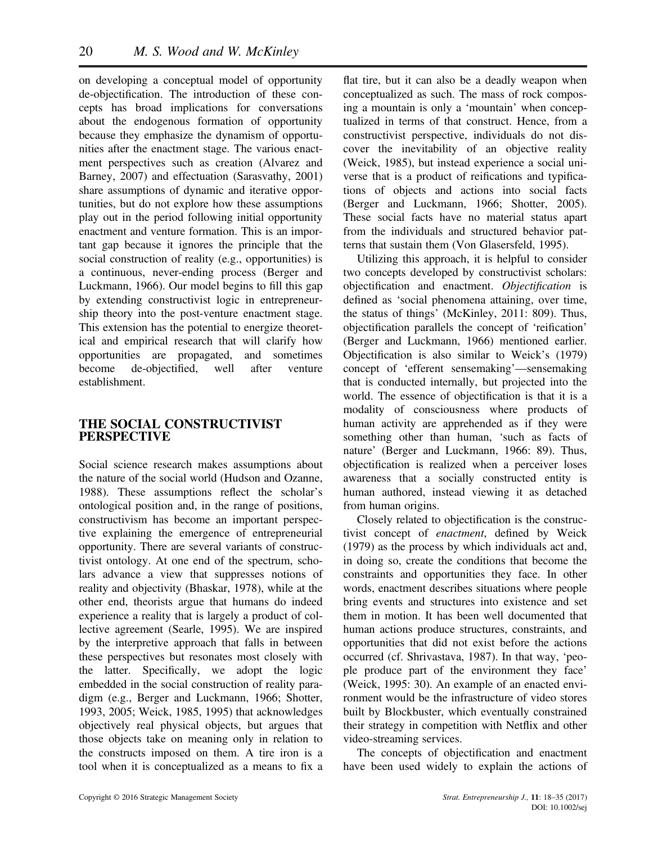on developing a conceptual model of opportunity de-objectification. The introduction of these concepts has broad implications for conversations about the endogenous formation of opportunity because they emphasize the dynamism of opportunities after the enactment stage. The various enactment perspectives such as creation (Alvarez and Barney, 2007) and effectuation (Sarasvathy, 2001) share assumptions of dynamic and iterative opportunities, but do not explore how these assumptions play out in the period following initial opportunity enactment and venture formation. This is an important gap because it ignores the principle that the social construction of reality (e.g., opportunities) is a continuous, never-ending process (Berger and Luckmann, 1966). Our model begins to fill this gap by extending constructivist logic in entrepreneurship theory into the post-venture enactment stage. This extension has the potential to energize theoretical and empirical research that will clarify how opportunities are propagated, become de-objectified, well after venture establishment.

### THE SOCIAL CONSTRUCTIVIST PERSPECTIVE

Social science research makes assumptions about the nature of the social world (Hudson and Ozanne, 1988). These assumptions reflect the scholar's ontological position and, in the range of positions, constructivism has become an important perspective explaining the emergence of entrepreneurial opportunity. There are several variants of constructivist ontology. At one end of the spectrum, scholars advance a view that suppresses notions of reality and objectivity (Bhaskar, 1978), while at the other end, theorists argue that humans do indeed experience a reality that is largely a product of collective agreement (Searle, 1995). We are inspired by the interpretive approach that falls in between these perspectives but resonates most closely with the latter. Specifically, we adopt the logic embedded in the social construction of reality paradigm (e.g., Berger and Luckmann, 1966; Shotter, 1993, 2005; Weick, 1985, 1995) that acknowledges objectively real physical objects, but argues that those objects take on meaning only in relation to the constructs imposed on them. A tire iron is a tool when it is conceptualized as a means to fix a

flat tire, but it can also be a deadly weapon when conceptualized as such. The mass of rock composing a mountain is only a 'mountain' when conceptualized in terms of that construct. Hence, from a constructivist perspective, individuals do not discover the inevitability of an objective reality (Weick, 1985), but instead experience a social universe that is a product of reifications and typifications of objects and actions into social facts (Berger and Luckmann, 1966; Shotter, 2005). These social facts have no material status apart from the individuals and structured behavior patterns that sustain them (Von Glasersfeld, 1995).

Utilizing this approach, it is helpful to consider two concepts developed by constructivist scholars: objectification and enactment. Objectification is defined as 'social phenomena attaining, over time, the status of things' (McKinley, 2011: 809). Thus, objectification parallels the concept of 'reification' (Berger and Luckmann, 1966) mentioned earlier. Objectification is also similar to Weick's (1979) concept of 'efferent sensemaking'—sensemaking that is conducted internally, but projected into the world. The essence of objectification is that it is a modality of consciousness where products of human activity are apprehended as if they were something other than human, 'such as facts of nature' (Berger and Luckmann, 1966: 89). Thus, objectification is realized when a perceiver loses awareness that a socially constructed entity is human authored, instead viewing it as detached from human origins.

Closely related to objectification is the constructivist concept of enactment, defined by Weick (1979) as the process by which individuals act and, in doing so, create the conditions that become the constraints and opportunities they face. In other words, enactment describes situations where people bring events and structures into existence and set them in motion. It has been well documented that human actions produce structures, constraints, and opportunities that did not exist before the actions occurred (cf. Shrivastava, 1987). In that way, 'people produce part of the environment they face' (Weick, 1995: 30). An example of an enacted environment would be the infrastructure of video stores built by Blockbuster, which eventually constrained their strategy in competition with Netflix and other video-streaming services.

The concepts of objectification and enactment have been used widely to explain the actions of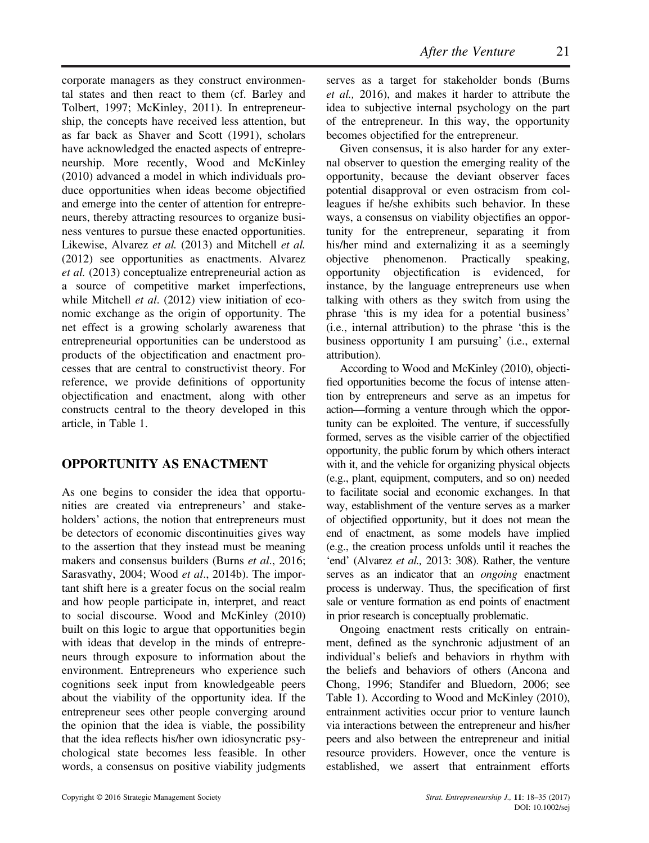corporate managers as they construct environmental states and then react to them (cf. Barley and Tolbert, 1997; McKinley, 2011). In entrepreneurship, the concepts have received less attention, but as far back as Shaver and Scott (1991), scholars have acknowledged the enacted aspects of entrepreneurship. More recently, Wood and McKinley (2010) advanced a model in which individuals produce opportunities when ideas become objectified and emerge into the center of attention for entrepreneurs, thereby attracting resources to organize business ventures to pursue these enacted opportunities. Likewise, Alvarez et al. (2013) and Mitchell et al. (2012) see opportunities as enactments. Alvarez et al. (2013) conceptualize entrepreneurial action as a source of competitive market imperfections, while Mitchell *et al.* (2012) view initiation of economic exchange as the origin of opportunity. The net effect is a growing scholarly awareness that entrepreneurial opportunities can be understood as products of the objectification and enactment processes that are central to constructivist theory. For reference, we provide definitions of opportunity objectification and enactment, along with other constructs central to the theory developed in this article, in Table 1.

### OPPORTUNITY AS ENACTMENT

As one begins to consider the idea that opportunities are created via entrepreneurs' and stakeholders' actions, the notion that entrepreneurs must be detectors of economic discontinuities gives way to the assertion that they instead must be meaning makers and consensus builders (Burns et al., 2016; Sarasvathy, 2004; Wood et al., 2014b). The important shift here is a greater focus on the social realm and how people participate in, interpret, and react to social discourse. Wood and McKinley (2010) built on this logic to argue that opportunities begin with ideas that develop in the minds of entrepreneurs through exposure to information about the environment. Entrepreneurs who experience such cognitions seek input from knowledgeable peers about the viability of the opportunity idea. If the entrepreneur sees other people converging around the opinion that the idea is viable, the possibility that the idea reflects his/her own idiosyncratic psychological state becomes less feasible. In other words, a consensus on positive viability judgments

serves as a target for stakeholder bonds (Burns et al., 2016), and makes it harder to attribute the idea to subjective internal psychology on the part of the entrepreneur. In this way, the opportunity becomes objectified for the entrepreneur.

Given consensus, it is also harder for any external observer to question the emerging reality of the opportunity, because the deviant observer faces potential disapproval or even ostracism from colleagues if he/she exhibits such behavior. In these ways, a consensus on viability objectifies an opportunity for the entrepreneur, separating it from his/her mind and externalizing it as a seemingly objective phenomenon. Practically speaking, opportunity objectification is evidenced, for instance, by the language entrepreneurs use when talking with others as they switch from using the phrase 'this is my idea for a potential business' (i.e., internal attribution) to the phrase 'this is the business opportunity I am pursuing' (i.e., external attribution).

According to Wood and McKinley (2010), objectified opportunities become the focus of intense attention by entrepreneurs and serve as an impetus for action—forming a venture through which the opportunity can be exploited. The venture, if successfully formed, serves as the visible carrier of the objectified opportunity, the public forum by which others interact with it, and the vehicle for organizing physical objects (e.g., plant, equipment, computers, and so on) needed to facilitate social and economic exchanges. In that way, establishment of the venture serves as a marker of objectified opportunity, but it does not mean the end of enactment, as some models have implied (e.g., the creation process unfolds until it reaches the 'end' (Alvarez et al., 2013: 308). Rather, the venture serves as an indicator that an *ongoing* enactment process is underway. Thus, the specification of first sale or venture formation as end points of enactment in prior research is conceptually problematic.

Ongoing enactment rests critically on entrainment, defined as the synchronic adjustment of an individual's beliefs and behaviors in rhythm with the beliefs and behaviors of others (Ancona and Chong, 1996; Standifer and Bluedorn, 2006; see Table 1). According to Wood and McKinley (2010), entrainment activities occur prior to venture launch via interactions between the entrepreneur and his/her peers and also between the entrepreneur and initial resource providers. However, once the venture is established, we assert that entrainment efforts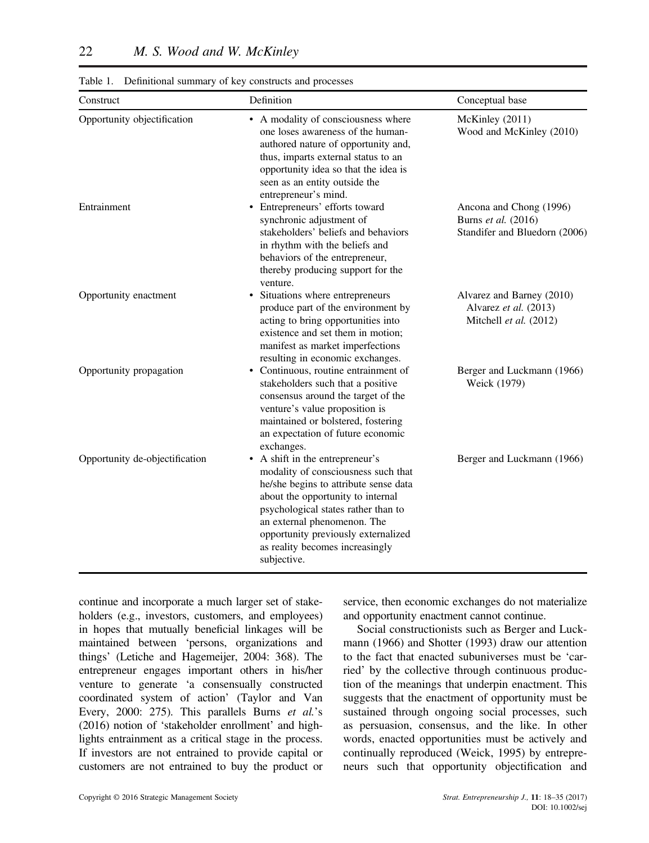| Construct                      | Definition                                                                                                                                                                                                                                                                                                          | Conceptual base                                                                 |
|--------------------------------|---------------------------------------------------------------------------------------------------------------------------------------------------------------------------------------------------------------------------------------------------------------------------------------------------------------------|---------------------------------------------------------------------------------|
| Opportunity objectification    | • A modality of consciousness where<br>one loses awareness of the human-<br>authored nature of opportunity and,<br>thus, imparts external status to an<br>opportunity idea so that the idea is<br>seen as an entity outside the<br>entrepreneur's mind.                                                             | McKinley (2011)<br>Wood and McKinley (2010)                                     |
| Entrainment                    | • Entrepreneurs' efforts toward<br>synchronic adjustment of<br>stakeholders' beliefs and behaviors<br>in rhythm with the beliefs and<br>behaviors of the entrepreneur,<br>thereby producing support for the<br>venture.                                                                                             | Ancona and Chong (1996)<br>Burns et al. (2016)<br>Standifer and Bluedorn (2006) |
| Opportunity enactment          | • Situations where entrepreneurs<br>produce part of the environment by<br>acting to bring opportunities into<br>existence and set them in motion;<br>manifest as market imperfections<br>resulting in economic exchanges.                                                                                           | Alvarez and Barney (2010)<br>Alvarez et al. (2013)<br>Mitchell et al. (2012)    |
| Opportunity propagation        | • Continuous, routine entrainment of<br>stakeholders such that a positive<br>consensus around the target of the<br>venture's value proposition is<br>maintained or bolstered, fostering<br>an expectation of future economic<br>exchanges.                                                                          | Berger and Luckmann (1966)<br>Weick (1979)                                      |
| Opportunity de-objectification | • A shift in the entrepreneur's<br>modality of consciousness such that<br>he/she begins to attribute sense data<br>about the opportunity to internal<br>psychological states rather than to<br>an external phenomenon. The<br>opportunity previously externalized<br>as reality becomes increasingly<br>subjective. | Berger and Luckmann (1966)                                                      |

Table 1. Definitional summary of key constructs and processes

continue and incorporate a much larger set of stakeholders (e.g., investors, customers, and employees) in hopes that mutually beneficial linkages will be maintained between 'persons, organizations and things' (Letiche and Hagemeijer, 2004: 368). The entrepreneur engages important others in his/her venture to generate 'a consensually constructed coordinated system of action' (Taylor and Van Every, 2000: 275). This parallels Burns et al.'s (2016) notion of 'stakeholder enrollment' and highlights entrainment as a critical stage in the process. If investors are not entrained to provide capital or customers are not entrained to buy the product or service, then economic exchanges do not materialize and opportunity enactment cannot continue.

Social constructionists such as Berger and Luckmann (1966) and Shotter (1993) draw our attention to the fact that enacted subuniverses must be 'carried' by the collective through continuous production of the meanings that underpin enactment. This suggests that the enactment of opportunity must be sustained through ongoing social processes, such as persuasion, consensus, and the like. In other words, enacted opportunities must be actively and continually reproduced (Weick, 1995) by entrepreneurs such that opportunity objectification and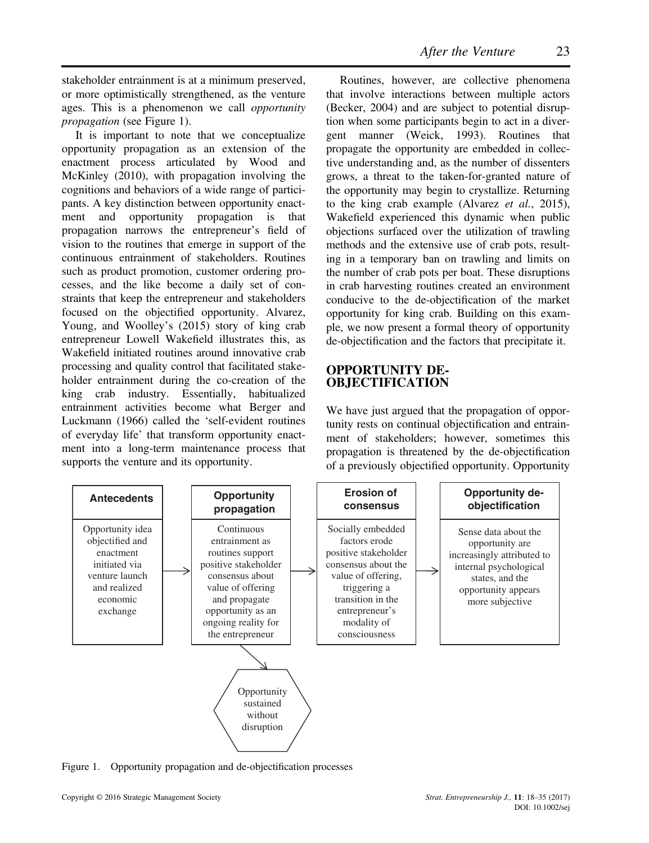stakeholder entrainment is at a minimum preserved, or more optimistically strengthened, as the venture ages. This is a phenomenon we call opportunity propagation (see Figure 1).

It is important to note that we conceptualize opportunity propagation as an extension of the enactment process articulated by Wood and McKinley (2010), with propagation involving the cognitions and behaviors of a wide range of participants. A key distinction between opportunity enactment and opportunity propagation is that propagation narrows the entrepreneur's field of vision to the routines that emerge in support of the continuous entrainment of stakeholders. Routines such as product promotion, customer ordering processes, and the like become a daily set of constraints that keep the entrepreneur and stakeholders focused on the objectified opportunity. Alvarez, Young, and Woolley's (2015) story of king crab entrepreneur Lowell Wakefield illustrates this, as Wakefield initiated routines around innovative crab processing and quality control that facilitated stakeholder entrainment during the co-creation of the king crab industry. Essentially, habitualized entrainment activities become what Berger and Luckmann (1966) called the 'self-evident routines of everyday life' that transform opportunity enactment into a long-term maintenance process that supports the venture and its opportunity.

Routines, however, are collective phenomena that involve interactions between multiple actors (Becker, 2004) and are subject to potential disruption when some participants begin to act in a divergent manner (Weick, 1993). Routines that propagate the opportunity are embedded in collective understanding and, as the number of dissenters grows, a threat to the taken-for-granted nature of the opportunity may begin to crystallize. Returning to the king crab example (Alvarez et al., 2015), Wakefield experienced this dynamic when public objections surfaced over the utilization of trawling methods and the extensive use of crab pots, resulting in a temporary ban on trawling and limits on the number of crab pots per boat. These disruptions in crab harvesting routines created an environment conducive to the de-objectification of the market opportunity for king crab. Building on this example, we now present a formal theory of opportunity de-objectification and the factors that precipitate it.

### OPPORTUNITY DE-OBJECTIFICATION

We have just argued that the propagation of opportunity rests on continual objectification and entrainment of stakeholders; however, sometimes this propagation is threatened by the de-objectification of a previously objectified opportunity. Opportunity



Figure 1. Opportunity propagation and de-objectification processes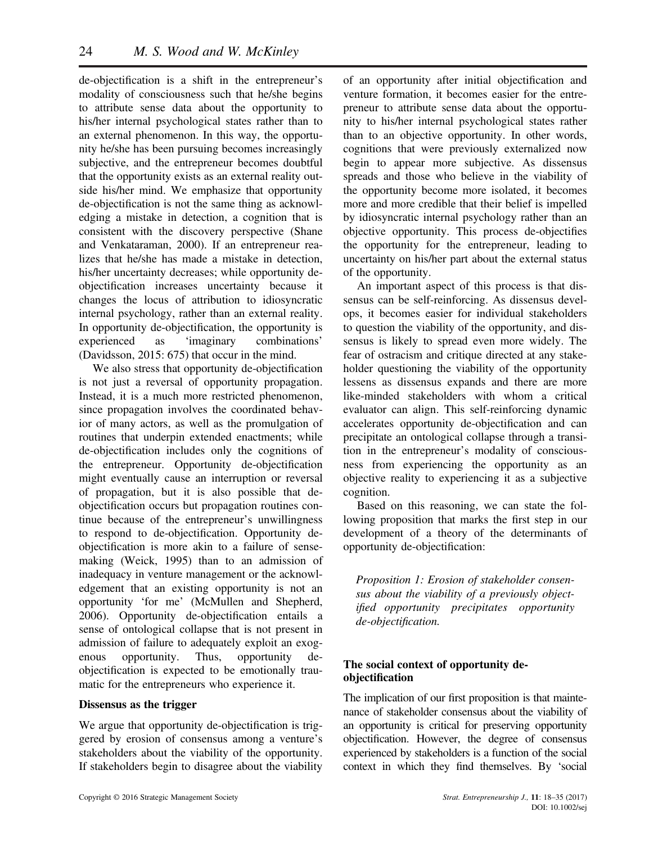de-objectification is a shift in the entrepreneur's modality of consciousness such that he/she begins to attribute sense data about the opportunity to his/her internal psychological states rather than to an external phenomenon. In this way, the opportunity he/she has been pursuing becomes increasingly subjective, and the entrepreneur becomes doubtful that the opportunity exists as an external reality outside his/her mind. We emphasize that opportunity de-objectification is not the same thing as acknowledging a mistake in detection, a cognition that is consistent with the discovery perspective (Shane and Venkataraman, 2000). If an entrepreneur realizes that he/she has made a mistake in detection, his/her uncertainty decreases; while opportunity deobjectification increases uncertainty because it changes the locus of attribution to idiosyncratic internal psychology, rather than an external reality. In opportunity de-objectification, the opportunity is experienced as 'imaginary combinations' as 'imaginary combinations' (Davidsson, 2015: 675) that occur in the mind.

We also stress that opportunity de-objectification is not just a reversal of opportunity propagation. Instead, it is a much more restricted phenomenon, since propagation involves the coordinated behavior of many actors, as well as the promulgation of routines that underpin extended enactments; while de-objectification includes only the cognitions of the entrepreneur. Opportunity de-objectification might eventually cause an interruption or reversal of propagation, but it is also possible that deobjectification occurs but propagation routines continue because of the entrepreneur's unwillingness to respond to de-objectification. Opportunity deobjectification is more akin to a failure of sensemaking (Weick, 1995) than to an admission of inadequacy in venture management or the acknowledgement that an existing opportunity is not an opportunity 'for me' (McMullen and Shepherd, 2006). Opportunity de-objectification entails a sense of ontological collapse that is not present in admission of failure to adequately exploit an exogenous opportunity. Thus, opportunity deobjectification is expected to be emotionally traumatic for the entrepreneurs who experience it.

#### Dissensus as the trigger

We argue that opportunity de-objectification is triggered by erosion of consensus among a venture's stakeholders about the viability of the opportunity. If stakeholders begin to disagree about the viability of an opportunity after initial objectification and venture formation, it becomes easier for the entrepreneur to attribute sense data about the opportunity to his/her internal psychological states rather than to an objective opportunity. In other words, cognitions that were previously externalized now begin to appear more subjective. As dissensus spreads and those who believe in the viability of the opportunity become more isolated, it becomes more and more credible that their belief is impelled by idiosyncratic internal psychology rather than an objective opportunity. This process de-objectifies the opportunity for the entrepreneur, leading to uncertainty on his/her part about the external status of the opportunity.

An important aspect of this process is that dissensus can be self-reinforcing. As dissensus develops, it becomes easier for individual stakeholders to question the viability of the opportunity, and dissensus is likely to spread even more widely. The fear of ostracism and critique directed at any stakeholder questioning the viability of the opportunity lessens as dissensus expands and there are more like-minded stakeholders with whom a critical evaluator can align. This self-reinforcing dynamic accelerates opportunity de-objectification and can precipitate an ontological collapse through a transition in the entrepreneur's modality of consciousness from experiencing the opportunity as an objective reality to experiencing it as a subjective cognition.

Based on this reasoning, we can state the following proposition that marks the first step in our development of a theory of the determinants of opportunity de-objectification:

Proposition 1: Erosion of stakeholder consensus about the viability of a previously objectified opportunity precipitates opportunity de-objectification.

#### The social context of opportunity deobjectification

The implication of our first proposition is that maintenance of stakeholder consensus about the viability of an opportunity is critical for preserving opportunity objectification. However, the degree of consensus experienced by stakeholders is a function of the social context in which they find themselves. By 'social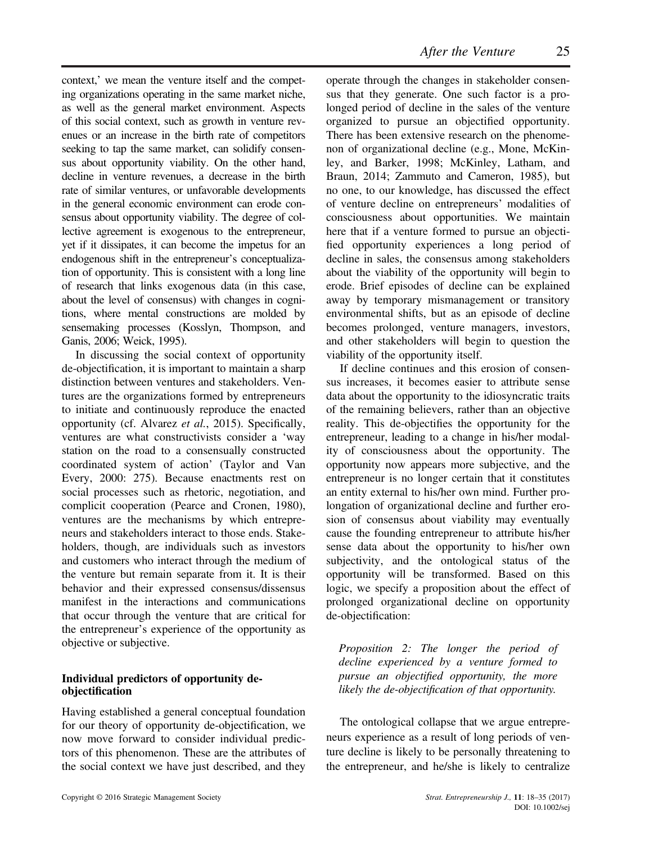context,' we mean the venture itself and the competing organizations operating in the same market niche, as well as the general market environment. Aspects of this social context, such as growth in venture revenues or an increase in the birth rate of competitors seeking to tap the same market, can solidify consensus about opportunity viability. On the other hand, decline in venture revenues, a decrease in the birth rate of similar ventures, or unfavorable developments in the general economic environment can erode consensus about opportunity viability. The degree of collective agreement is exogenous to the entrepreneur, yet if it dissipates, it can become the impetus for an endogenous shift in the entrepreneur's conceptualization of opportunity. This is consistent with a long line of research that links exogenous data (in this case, about the level of consensus) with changes in cognitions, where mental constructions are molded by sensemaking processes (Kosslyn, Thompson, and Ganis, 2006; Weick, 1995).

In discussing the social context of opportunity de-objectification, it is important to maintain a sharp distinction between ventures and stakeholders. Ventures are the organizations formed by entrepreneurs to initiate and continuously reproduce the enacted opportunity (cf. Alvarez et al., 2015). Specifically, ventures are what constructivists consider a 'way station on the road to a consensually constructed coordinated system of action' (Taylor and Van Every, 2000: 275). Because enactments rest on social processes such as rhetoric, negotiation, and complicit cooperation (Pearce and Cronen, 1980), ventures are the mechanisms by which entrepreneurs and stakeholders interact to those ends. Stakeholders, though, are individuals such as investors and customers who interact through the medium of the venture but remain separate from it. It is their behavior and their expressed consensus/dissensus manifest in the interactions and communications that occur through the venture that are critical for the entrepreneur's experience of the opportunity as objective or subjective.

#### Individual predictors of opportunity deobjectification

Having established a general conceptual foundation for our theory of opportunity de-objectification, we now move forward to consider individual predictors of this phenomenon. These are the attributes of the social context we have just described, and they

operate through the changes in stakeholder consensus that they generate. One such factor is a prolonged period of decline in the sales of the venture organized to pursue an objectified opportunity. There has been extensive research on the phenomenon of organizational decline (e.g., Mone, McKinley, and Barker, 1998; McKinley, Latham, and Braun, 2014; Zammuto and Cameron, 1985), but no one, to our knowledge, has discussed the effect of venture decline on entrepreneurs' modalities of consciousness about opportunities. We maintain here that if a venture formed to pursue an objectified opportunity experiences a long period of decline in sales, the consensus among stakeholders about the viability of the opportunity will begin to erode. Brief episodes of decline can be explained away by temporary mismanagement or transitory environmental shifts, but as an episode of decline becomes prolonged, venture managers, investors, and other stakeholders will begin to question the viability of the opportunity itself.

If decline continues and this erosion of consensus increases, it becomes easier to attribute sense data about the opportunity to the idiosyncratic traits of the remaining believers, rather than an objective reality. This de-objectifies the opportunity for the entrepreneur, leading to a change in his/her modality of consciousness about the opportunity. The opportunity now appears more subjective, and the entrepreneur is no longer certain that it constitutes an entity external to his/her own mind. Further prolongation of organizational decline and further erosion of consensus about viability may eventually cause the founding entrepreneur to attribute his/her sense data about the opportunity to his/her own subjectivity, and the ontological status of the opportunity will be transformed. Based on this logic, we specify a proposition about the effect of prolonged organizational decline on opportunity de-objectification:

Proposition 2: The longer the period of decline experienced by a venture formed to pursue an objectified opportunity, the more likely the de-objectification of that opportunity.

The ontological collapse that we argue entrepreneurs experience as a result of long periods of venture decline is likely to be personally threatening to the entrepreneur, and he/she is likely to centralize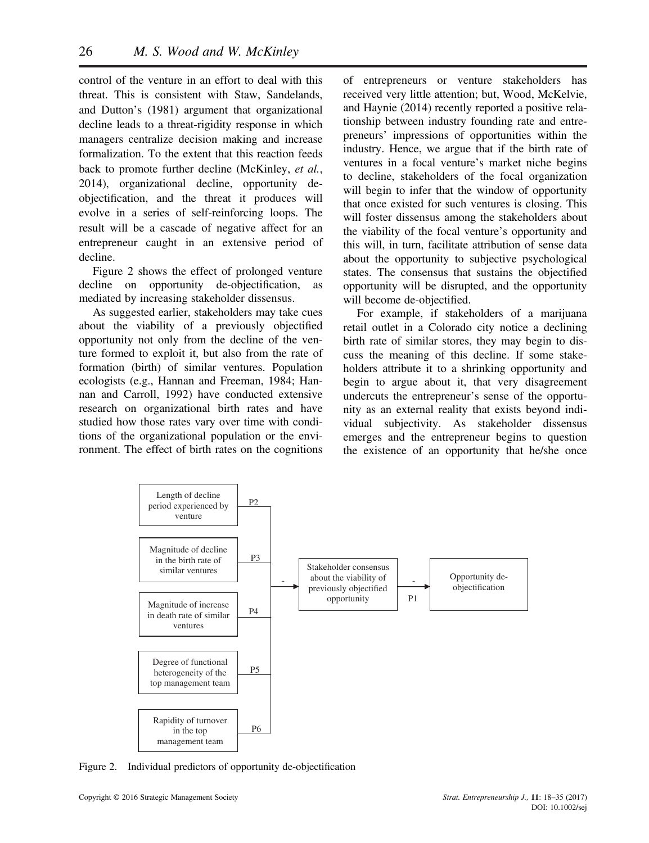control of the venture in an effort to deal with this threat. This is consistent with Staw, Sandelands, and Dutton's (1981) argument that organizational decline leads to a threat-rigidity response in which managers centralize decision making and increase formalization. To the extent that this reaction feeds back to promote further decline (McKinley, et al., 2014), organizational decline, opportunity deobjectification, and the threat it produces will evolve in a series of self-reinforcing loops. The result will be a cascade of negative affect for an entrepreneur caught in an extensive period of decline.

Figure 2 shows the effect of prolonged venture decline on opportunity de-objectification, as mediated by increasing stakeholder dissensus.

As suggested earlier, stakeholders may take cues about the viability of a previously objectified opportunity not only from the decline of the venture formed to exploit it, but also from the rate of formation (birth) of similar ventures. Population ecologists (e.g., Hannan and Freeman, 1984; Hannan and Carroll, 1992) have conducted extensive research on organizational birth rates and have studied how those rates vary over time with conditions of the organizational population or the environment. The effect of birth rates on the cognitions of entrepreneurs or venture stakeholders has received very little attention; but, Wood, McKelvie, and Haynie (2014) recently reported a positive relationship between industry founding rate and entrepreneurs' impressions of opportunities within the industry. Hence, we argue that if the birth rate of ventures in a focal venture's market niche begins to decline, stakeholders of the focal organization will begin to infer that the window of opportunity that once existed for such ventures is closing. This will foster dissensus among the stakeholders about the viability of the focal venture's opportunity and this will, in turn, facilitate attribution of sense data about the opportunity to subjective psychological states. The consensus that sustains the objectified opportunity will be disrupted, and the opportunity will become de-objectified.

For example, if stakeholders of a marijuana retail outlet in a Colorado city notice a declining birth rate of similar stores, they may begin to discuss the meaning of this decline. If some stakeholders attribute it to a shrinking opportunity and begin to argue about it, that very disagreement undercuts the entrepreneur's sense of the opportunity as an external reality that exists beyond individual subjectivity. As stakeholder dissensus emerges and the entrepreneur begins to question the existence of an opportunity that he/she once



Figure 2. Individual predictors of opportunity de-objectification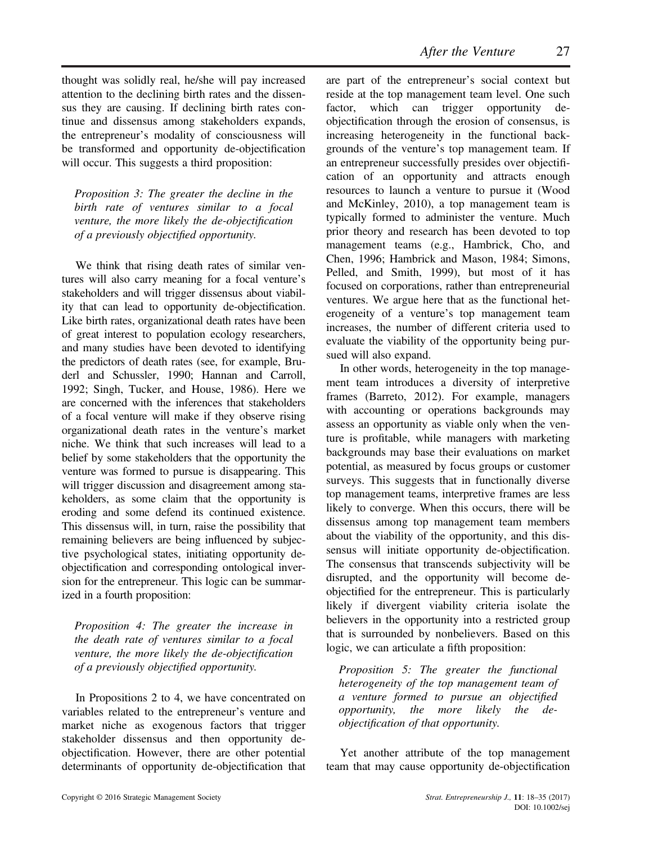thought was solidly real, he/she will pay increased attention to the declining birth rates and the dissensus they are causing. If declining birth rates continue and dissensus among stakeholders expands, the entrepreneur's modality of consciousness will be transformed and opportunity de-objectification will occur. This suggests a third proposition:

Proposition 3: The greater the decline in the birth rate of ventures similar to a focal venture, the more likely the de-objectification of a previously objectified opportunity.

We think that rising death rates of similar ventures will also carry meaning for a focal venture's stakeholders and will trigger dissensus about viability that can lead to opportunity de-objectification. Like birth rates, organizational death rates have been of great interest to population ecology researchers, and many studies have been devoted to identifying the predictors of death rates (see, for example, Bruderl and Schussler, 1990; Hannan and Carroll, 1992; Singh, Tucker, and House, 1986). Here we are concerned with the inferences that stakeholders of a focal venture will make if they observe rising organizational death rates in the venture's market niche. We think that such increases will lead to a belief by some stakeholders that the opportunity the venture was formed to pursue is disappearing. This will trigger discussion and disagreement among stakeholders, as some claim that the opportunity is eroding and some defend its continued existence. This dissensus will, in turn, raise the possibility that remaining believers are being influenced by subjective psychological states, initiating opportunity deobjectification and corresponding ontological inversion for the entrepreneur. This logic can be summarized in a fourth proposition:

Proposition 4: The greater the increase in the death rate of ventures similar to a focal venture, the more likely the de-objectification of a previously objectified opportunity.

In Propositions 2 to 4, we have concentrated on variables related to the entrepreneur's venture and market niche as exogenous factors that trigger stakeholder dissensus and then opportunity deobjectification. However, there are other potential determinants of opportunity de-objectification that are part of the entrepreneur's social context but reside at the top management team level. One such factor, which can trigger opportunity deobjectification through the erosion of consensus, is increasing heterogeneity in the functional backgrounds of the venture's top management team. If an entrepreneur successfully presides over objectification of an opportunity and attracts enough resources to launch a venture to pursue it (Wood and McKinley, 2010), a top management team is typically formed to administer the venture. Much prior theory and research has been devoted to top management teams (e.g., Hambrick, Cho, and Chen, 1996; Hambrick and Mason, 1984; Simons, Pelled, and Smith, 1999), but most of it has focused on corporations, rather than entrepreneurial ventures. We argue here that as the functional heterogeneity of a venture's top management team increases, the number of different criteria used to evaluate the viability of the opportunity being pursued will also expand.

In other words, heterogeneity in the top management team introduces a diversity of interpretive frames (Barreto, 2012). For example, managers with accounting or operations backgrounds may assess an opportunity as viable only when the venture is profitable, while managers with marketing backgrounds may base their evaluations on market potential, as measured by focus groups or customer surveys. This suggests that in functionally diverse top management teams, interpretive frames are less likely to converge. When this occurs, there will be dissensus among top management team members about the viability of the opportunity, and this dissensus will initiate opportunity de-objectification. The consensus that transcends subjectivity will be disrupted, and the opportunity will become deobjectified for the entrepreneur. This is particularly likely if divergent viability criteria isolate the believers in the opportunity into a restricted group that is surrounded by nonbelievers. Based on this logic, we can articulate a fifth proposition:

Proposition 5: The greater the functional heterogeneity of the top management team of a venture formed to pursue an objectified opportunity, the more likely the deobjectification of that opportunity.

Yet another attribute of the top management team that may cause opportunity de-objectification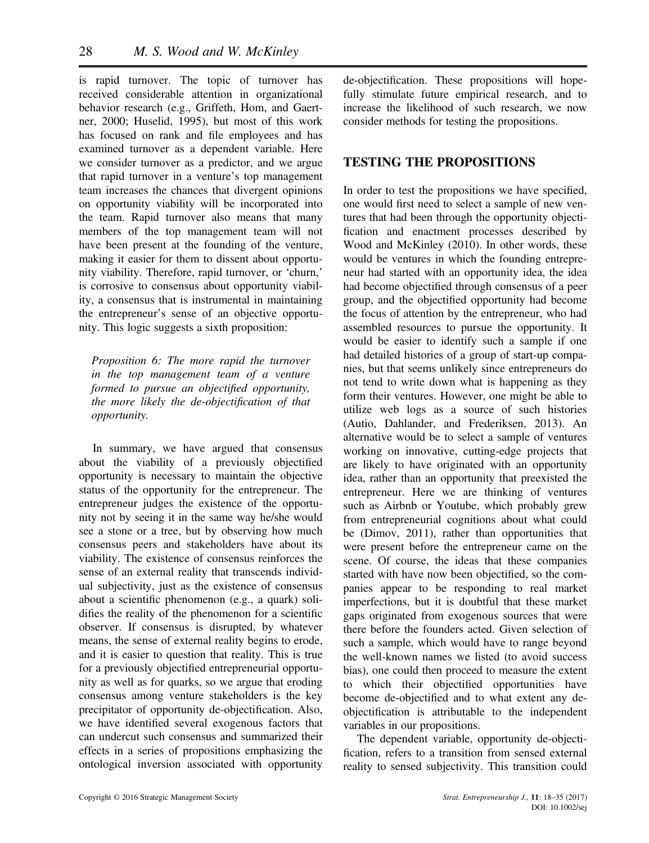is rapid turnover. The topic of turnover has received considerable attention in organizational behavior research (e.g., Griffeth, Hom, and Gaertner, 2000; Huselid, 1995), but most of this work has focused on rank and file employees and has examined turnover as a dependent variable. Here we consider turnover as a predictor, and we argue that rapid turnover in a venture's top management team increases the chances that divergent opinions on opportunity viability will be incorporated into the team. Rapid turnover also means that many members of the top management team will not have been present at the founding of the venture, making it easier for them to dissent about opportunity viability. Therefore, rapid turnover, or 'churn,' is corrosive to consensus about opportunity viability, a consensus that is instrumental in maintaining the entrepreneur's sense of an objective opportunity. This logic suggests a sixth proposition:

Proposition 6: The more rapid the turnover in the top management team of a venture formed to pursue an objectified opportunity, the more likely the de-objectification of that opportunity.

In summary, we have argued that consensus about the viability of a previously objectified opportunity is necessary to maintain the objective status of the opportunity for the entrepreneur. The entrepreneur judges the existence of the opportunity not by seeing it in the same way he/she would see a stone or a tree, but by observing how much consensus peers and stakeholders have about its viability. The existence of consensus reinforces the sense of an external reality that transcends individual subjectivity, just as the existence of consensus about a scientific phenomenon (e.g., a quark) solidifies the reality of the phenomenon for a scientific observer. If consensus is disrupted, by whatever means, the sense of external reality begins to erode, and it is easier to question that reality. This is true for a previously objectified entrepreneurial opportunity as well as for quarks, so we argue that eroding consensus among venture stakeholders is the key precipitator of opportunity de-objectification. Also, we have identified several exogenous factors that can undercut such consensus and summarized their effects in a series of propositions emphasizing the ontological inversion associated with opportunity de-objectification. These propositions will hopefully stimulate future empirical research, and to increase the likelihood of such research, we now consider methods for testing the propositions.

### TESTING THE PROPOSITIONS

In order to test the propositions we have specified, one would first need to select a sample of new ventures that had been through the opportunity objectification and enactment processes described by Wood and McKinley (2010). In other words, these would be ventures in which the founding entrepreneur had started with an opportunity idea, the idea had become objectified through consensus of a peer group, and the objectified opportunity had become the focus of attention by the entrepreneur, who had assembled resources to pursue the opportunity. It would be easier to identify such a sample if one had detailed histories of a group of start-up companies, but that seems unlikely since entrepreneurs do not tend to write down what is happening as they form their ventures. However, one might be able to utilize web logs as a source of such histories (Autio, Dahlander, and Frederiksen, 2013). An alternative would be to select a sample of ventures working on innovative, cutting-edge projects that are likely to have originated with an opportunity idea, rather than an opportunity that preexisted the entrepreneur. Here we are thinking of ventures such as Airbnb or Youtube, which probably grew from entrepreneurial cognitions about what could be (Dimov, 2011), rather than opportunities that were present before the entrepreneur came on the scene. Of course, the ideas that these companies started with have now been objectified, so the companies appear to be responding to real market imperfections, but it is doubtful that these market gaps originated from exogenous sources that were there before the founders acted. Given selection of such a sample, which would have to range beyond the well-known names we listed (to avoid success bias), one could then proceed to measure the extent to which their objectified opportunities have become de-objectified and to what extent any deobjectification is attributable to the independent variables in our propositions.

The dependent variable, opportunity de-objectification, refers to a transition from sensed external reality to sensed subjectivity. This transition could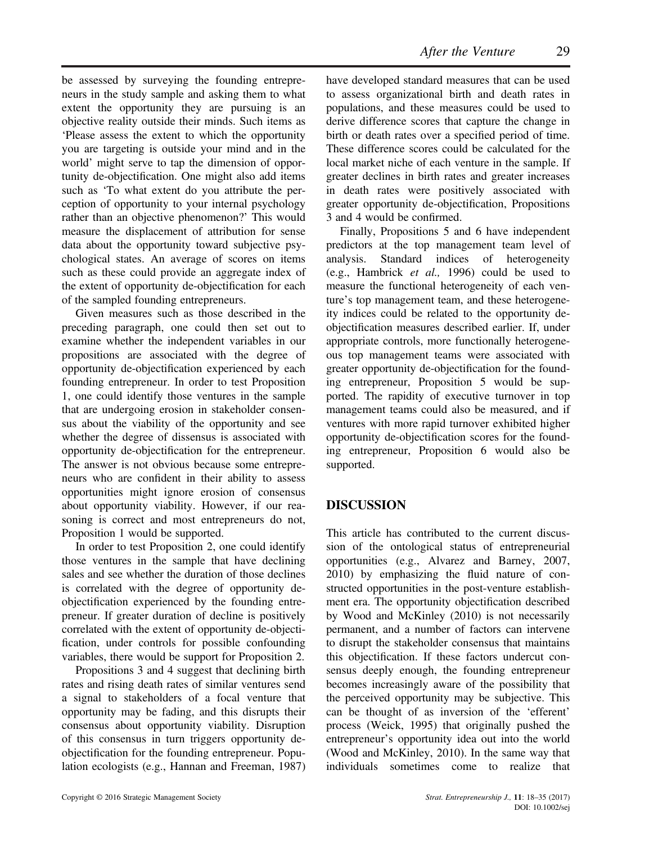be assessed by surveying the founding entrepreneurs in the study sample and asking them to what extent the opportunity they are pursuing is an objective reality outside their minds. Such items as 'Please assess the extent to which the opportunity you are targeting is outside your mind and in the world' might serve to tap the dimension of opportunity de-objectification. One might also add items such as 'To what extent do you attribute the perception of opportunity to your internal psychology rather than an objective phenomenon?' This would measure the displacement of attribution for sense data about the opportunity toward subjective psychological states. An average of scores on items such as these could provide an aggregate index of the extent of opportunity de-objectification for each of the sampled founding entrepreneurs.

Given measures such as those described in the preceding paragraph, one could then set out to examine whether the independent variables in our propositions are associated with the degree of opportunity de-objectification experienced by each founding entrepreneur. In order to test Proposition 1, one could identify those ventures in the sample that are undergoing erosion in stakeholder consensus about the viability of the opportunity and see whether the degree of dissensus is associated with opportunity de-objectification for the entrepreneur. The answer is not obvious because some entrepreneurs who are confident in their ability to assess opportunities might ignore erosion of consensus about opportunity viability. However, if our reasoning is correct and most entrepreneurs do not, Proposition 1 would be supported.

In order to test Proposition 2, one could identify those ventures in the sample that have declining sales and see whether the duration of those declines is correlated with the degree of opportunity deobjectification experienced by the founding entrepreneur. If greater duration of decline is positively correlated with the extent of opportunity de-objectification, under controls for possible confounding variables, there would be support for Proposition 2.

Propositions 3 and 4 suggest that declining birth rates and rising death rates of similar ventures send a signal to stakeholders of a focal venture that opportunity may be fading, and this disrupts their consensus about opportunity viability. Disruption of this consensus in turn triggers opportunity deobjectification for the founding entrepreneur. Population ecologists (e.g., Hannan and Freeman, 1987) have developed standard measures that can be used to assess organizational birth and death rates in populations, and these measures could be used to derive difference scores that capture the change in birth or death rates over a specified period of time. These difference scores could be calculated for the local market niche of each venture in the sample. If greater declines in birth rates and greater increases in death rates were positively associated with greater opportunity de-objectification, Propositions 3 and 4 would be confirmed.

Finally, Propositions 5 and 6 have independent predictors at the top management team level of analysis. Standard indices of heterogeneity (e.g., Hambrick et al., 1996) could be used to measure the functional heterogeneity of each venture's top management team, and these heterogeneity indices could be related to the opportunity deobjectification measures described earlier. If, under appropriate controls, more functionally heterogeneous top management teams were associated with greater opportunity de-objectification for the founding entrepreneur, Proposition 5 would be supported. The rapidity of executive turnover in top management teams could also be measured, and if ventures with more rapid turnover exhibited higher opportunity de-objectification scores for the founding entrepreneur, Proposition 6 would also be supported.

## DISCUSSION

This article has contributed to the current discussion of the ontological status of entrepreneurial opportunities (e.g., Alvarez and Barney, 2007, 2010) by emphasizing the fluid nature of constructed opportunities in the post-venture establishment era. The opportunity objectification described by Wood and McKinley (2010) is not necessarily permanent, and a number of factors can intervene to disrupt the stakeholder consensus that maintains this objectification. If these factors undercut consensus deeply enough, the founding entrepreneur becomes increasingly aware of the possibility that the perceived opportunity may be subjective. This can be thought of as inversion of the 'efferent' process (Weick, 1995) that originally pushed the entrepreneur's opportunity idea out into the world (Wood and McKinley, 2010). In the same way that individuals sometimes come to realize that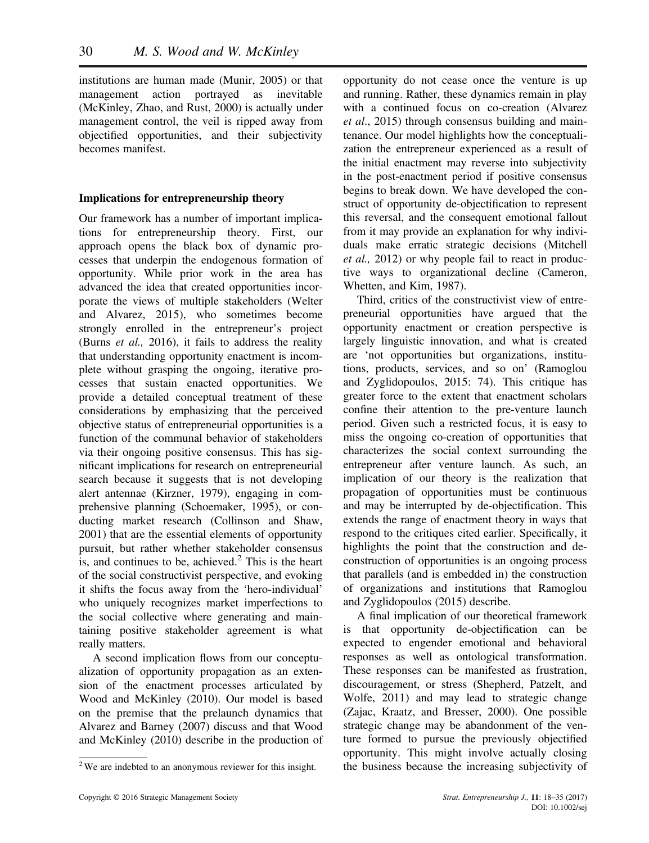institutions are human made (Munir, 2005) or that management action portrayed as inevitable (McKinley, Zhao, and Rust, 2000) is actually under management control, the veil is ripped away from objectified opportunities, and their subjectivity becomes manifest.

#### Implications for entrepreneurship theory

Our framework has a number of important implications for entrepreneurship theory. First, our approach opens the black box of dynamic processes that underpin the endogenous formation of opportunity. While prior work in the area has advanced the idea that created opportunities incorporate the views of multiple stakeholders (Welter and Alvarez, 2015), who sometimes become strongly enrolled in the entrepreneur's project (Burns et al., 2016), it fails to address the reality that understanding opportunity enactment is incomplete without grasping the ongoing, iterative processes that sustain enacted opportunities. We provide a detailed conceptual treatment of these considerations by emphasizing that the perceived objective status of entrepreneurial opportunities is a function of the communal behavior of stakeholders via their ongoing positive consensus. This has significant implications for research on entrepreneurial search because it suggests that is not developing alert antennae (Kirzner, 1979), engaging in comprehensive planning (Schoemaker, 1995), or conducting market research (Collinson and Shaw, 2001) that are the essential elements of opportunity pursuit, but rather whether stakeholder consensus is, and continues to be, achieved. $<sup>2</sup>$  This is the heart</sup> of the social constructivist perspective, and evoking it shifts the focus away from the 'hero-individual' who uniquely recognizes market imperfections to the social collective where generating and maintaining positive stakeholder agreement is what really matters.

A second implication flows from our conceptualization of opportunity propagation as an extension of the enactment processes articulated by Wood and McKinley (2010). Our model is based on the premise that the prelaunch dynamics that Alvarez and Barney (2007) discuss and that Wood and McKinley (2010) describe in the production of

opportunity do not cease once the venture is up and running. Rather, these dynamics remain in play with a continued focus on co-creation (Alvarez et al., 2015) through consensus building and maintenance. Our model highlights how the conceptualization the entrepreneur experienced as a result of the initial enactment may reverse into subjectivity in the post-enactment period if positive consensus begins to break down. We have developed the construct of opportunity de-objectification to represent this reversal, and the consequent emotional fallout from it may provide an explanation for why individuals make erratic strategic decisions (Mitchell et al., 2012) or why people fail to react in productive ways to organizational decline (Cameron, Whetten, and Kim, 1987).

Third, critics of the constructivist view of entrepreneurial opportunities have argued that the opportunity enactment or creation perspective is largely linguistic innovation, and what is created are 'not opportunities but organizations, institutions, products, services, and so on' (Ramoglou and Zyglidopoulos, 2015: 74). This critique has greater force to the extent that enactment scholars confine their attention to the pre-venture launch period. Given such a restricted focus, it is easy to miss the ongoing co-creation of opportunities that characterizes the social context surrounding the entrepreneur after venture launch. As such, an implication of our theory is the realization that propagation of opportunities must be continuous and may be interrupted by de-objectification. This extends the range of enactment theory in ways that respond to the critiques cited earlier. Specifically, it highlights the point that the construction and deconstruction of opportunities is an ongoing process that parallels (and is embedded in) the construction of organizations and institutions that Ramoglou and Zyglidopoulos (2015) describe.

A final implication of our theoretical framework is that opportunity de-objectification can be expected to engender emotional and behavioral responses as well as ontological transformation. These responses can be manifested as frustration, discouragement, or stress (Shepherd, Patzelt, and Wolfe, 2011) and may lead to strategic change (Zajac, Kraatz, and Bresser, 2000). One possible strategic change may be abandonment of the venture formed to pursue the previously objectified opportunity. This might involve actually closing <sup>2</sup>We are indebted to an anonymous reviewer for this insight. The business because the increasing subjectivity of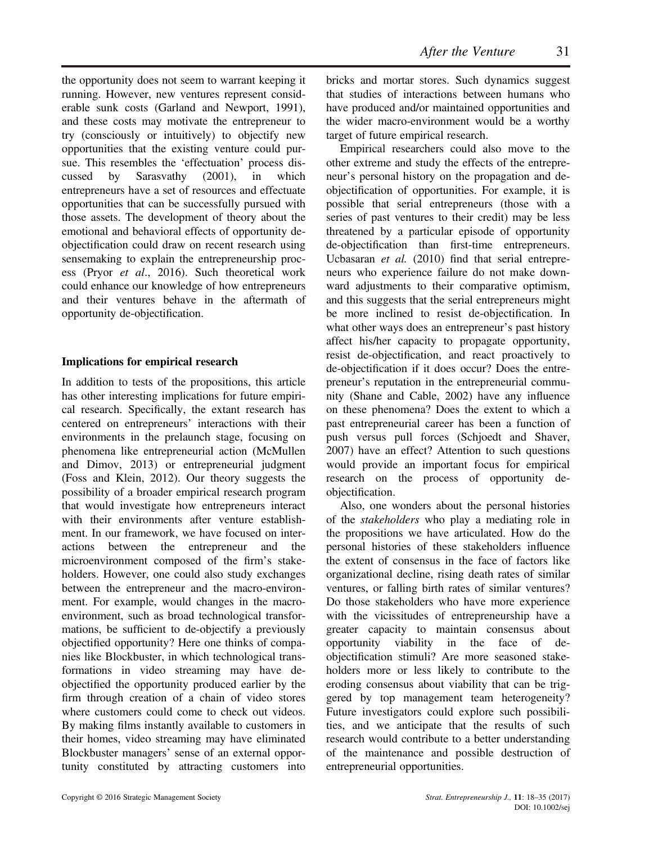the opportunity does not seem to warrant keeping it running. However, new ventures represent considerable sunk costs (Garland and Newport, 1991), and these costs may motivate the entrepreneur to try (consciously or intuitively) to objectify new opportunities that the existing venture could pursue. This resembles the 'effectuation' process dis-<br>cussed by Sarasvathy (2001), in which cussed by Sarasvathy  $(2001)$ , in entrepreneurs have a set of resources and effectuate opportunities that can be successfully pursued with those assets. The development of theory about the emotional and behavioral effects of opportunity deobjectification could draw on recent research using sensemaking to explain the entrepreneurship process (Pryor et al., 2016). Such theoretical work could enhance our knowledge of how entrepreneurs and their ventures behave in the aftermath of opportunity de-objectification.

### Implications for empirical research

In addition to tests of the propositions, this article has other interesting implications for future empirical research. Specifically, the extant research has centered on entrepreneurs' interactions with their environments in the prelaunch stage, focusing on phenomena like entrepreneurial action (McMullen and Dimov, 2013) or entrepreneurial judgment (Foss and Klein, 2012). Our theory suggests the possibility of a broader empirical research program that would investigate how entrepreneurs interact with their environments after venture establishment. In our framework, we have focused on interactions between the entrepreneur and the microenvironment composed of the firm's stakeholders. However, one could also study exchanges between the entrepreneur and the macro-environment. For example, would changes in the macroenvironment, such as broad technological transformations, be sufficient to de-objectify a previously objectified opportunity? Here one thinks of companies like Blockbuster, in which technological transformations in video streaming may have deobjectified the opportunity produced earlier by the firm through creation of a chain of video stores where customers could come to check out videos. By making films instantly available to customers in their homes, video streaming may have eliminated Blockbuster managers' sense of an external opportunity constituted by attracting customers into bricks and mortar stores. Such dynamics suggest that studies of interactions between humans who have produced and/or maintained opportunities and the wider macro-environment would be a worthy target of future empirical research.

Empirical researchers could also move to the other extreme and study the effects of the entrepreneur's personal history on the propagation and deobjectification of opportunities. For example, it is possible that serial entrepreneurs (those with a series of past ventures to their credit) may be less threatened by a particular episode of opportunity de-objectification than first-time entrepreneurs. Ucbasaran et al. (2010) find that serial entrepreneurs who experience failure do not make downward adjustments to their comparative optimism, and this suggests that the serial entrepreneurs might be more inclined to resist de-objectification. In what other ways does an entrepreneur's past history affect his/her capacity to propagate opportunity, resist de-objectification, and react proactively to de-objectification if it does occur? Does the entrepreneur's reputation in the entrepreneurial community (Shane and Cable, 2002) have any influence on these phenomena? Does the extent to which a past entrepreneurial career has been a function of push versus pull forces (Schjoedt and Shaver, 2007) have an effect? Attention to such questions would provide an important focus for empirical research on the process of opportunity deobjectification.

Also, one wonders about the personal histories of the stakeholders who play a mediating role in the propositions we have articulated. How do the personal histories of these stakeholders influence the extent of consensus in the face of factors like organizational decline, rising death rates of similar ventures, or falling birth rates of similar ventures? Do those stakeholders who have more experience with the vicissitudes of entrepreneurship have a greater capacity to maintain consensus about opportunity viability in the face of deobjectification stimuli? Are more seasoned stakeholders more or less likely to contribute to the eroding consensus about viability that can be triggered by top management team heterogeneity? Future investigators could explore such possibilities, and we anticipate that the results of such research would contribute to a better understanding of the maintenance and possible destruction of entrepreneurial opportunities.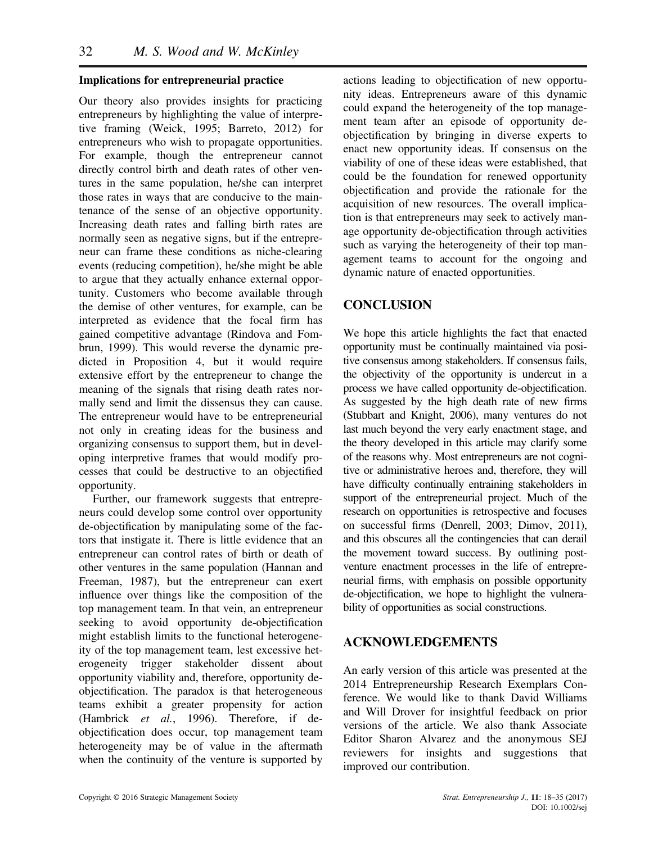#### Implications for entrepreneurial practice

Our theory also provides insights for practicing entrepreneurs by highlighting the value of interpretive framing (Weick, 1995; Barreto, 2012) for entrepreneurs who wish to propagate opportunities. For example, though the entrepreneur cannot directly control birth and death rates of other ventures in the same population, he/she can interpret those rates in ways that are conducive to the maintenance of the sense of an objective opportunity. Increasing death rates and falling birth rates are normally seen as negative signs, but if the entrepreneur can frame these conditions as niche-clearing events (reducing competition), he/she might be able to argue that they actually enhance external opportunity. Customers who become available through the demise of other ventures, for example, can be interpreted as evidence that the focal firm has gained competitive advantage (Rindova and Fombrun, 1999). This would reverse the dynamic predicted in Proposition 4, but it would require extensive effort by the entrepreneur to change the meaning of the signals that rising death rates normally send and limit the dissensus they can cause. The entrepreneur would have to be entrepreneurial not only in creating ideas for the business and organizing consensus to support them, but in developing interpretive frames that would modify processes that could be destructive to an objectified opportunity.

Further, our framework suggests that entrepreneurs could develop some control over opportunity de-objectification by manipulating some of the factors that instigate it. There is little evidence that an entrepreneur can control rates of birth or death of other ventures in the same population (Hannan and Freeman, 1987), but the entrepreneur can exert influence over things like the composition of the top management team. In that vein, an entrepreneur seeking to avoid opportunity de-objectification might establish limits to the functional heterogeneity of the top management team, lest excessive heterogeneity trigger stakeholder dissent about opportunity viability and, therefore, opportunity deobjectification. The paradox is that heterogeneous teams exhibit a greater propensity for action (Hambrick et al., 1996). Therefore, if deobjectification does occur, top management team heterogeneity may be of value in the aftermath when the continuity of the venture is supported by

actions leading to objectification of new opportunity ideas. Entrepreneurs aware of this dynamic could expand the heterogeneity of the top management team after an episode of opportunity deobjectification by bringing in diverse experts to enact new opportunity ideas. If consensus on the viability of one of these ideas were established, that could be the foundation for renewed opportunity objectification and provide the rationale for the acquisition of new resources. The overall implication is that entrepreneurs may seek to actively manage opportunity de-objectification through activities such as varying the heterogeneity of their top management teams to account for the ongoing and dynamic nature of enacted opportunities.

### **CONCLUSION**

We hope this article highlights the fact that enacted opportunity must be continually maintained via positive consensus among stakeholders. If consensus fails, the objectivity of the opportunity is undercut in a process we have called opportunity de-objectification. As suggested by the high death rate of new firms (Stubbart and Knight, 2006), many ventures do not last much beyond the very early enactment stage, and the theory developed in this article may clarify some of the reasons why. Most entrepreneurs are not cognitive or administrative heroes and, therefore, they will have difficulty continually entraining stakeholders in support of the entrepreneurial project. Much of the research on opportunities is retrospective and focuses on successful firms (Denrell, 2003; Dimov, 2011), and this obscures all the contingencies that can derail the movement toward success. By outlining postventure enactment processes in the life of entrepreneurial firms, with emphasis on possible opportunity de-objectification, we hope to highlight the vulnerability of opportunities as social constructions.

### ACKNOWLEDGEMENTS

An early version of this article was presented at the 2014 Entrepreneurship Research Exemplars Conference. We would like to thank David Williams and Will Drover for insightful feedback on prior versions of the article. We also thank Associate Editor Sharon Alvarez and the anonymous SEJ reviewers for insights and suggestions that improved our contribution.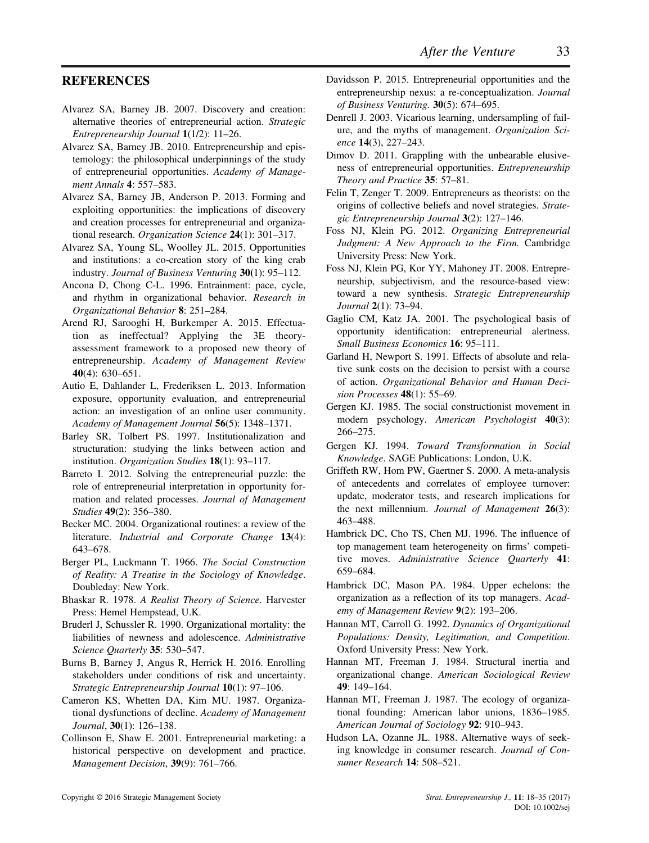#### **REFERENCES**

- Alvarez SA, Barney JB. 2007. Discovery and creation: alternative theories of entrepreneurial action. Strategic Entrepreneurship Journal 1(1/2): 11–26.
- Alvarez SA, Barney JB. 2010. Entrepreneurship and epistemology: the philosophical underpinnings of the study of entrepreneurial opportunities. Academy of Management Annals 4: 557–583.
- Alvarez SA, Barney JB, Anderson P. 2013. Forming and exploiting opportunities: the implications of discovery and creation processes for entrepreneurial and organizational research. Organization Science 24(1): 301–317.
- Alvarez SA, Young SL, Woolley JL. 2015. Opportunities and institutions: a co-creation story of the king crab industry. Journal of Business Venturing 30(1): 95–112.
- Ancona D, Chong C-L. 1996. Entrainment: pace, cycle, and rhythm in organizational behavior. Research in Organizational Behavior 8: 251–284.
- Arend RJ, Sarooghi H, Burkemper A. 2015. Effectuation as ineffectual? Applying the 3E theoryassessment framework to a proposed new theory of entrepreneurship. Academy of Management Review 40(4): 630–651.
- Autio E, Dahlander L, Frederiksen L. 2013. Information exposure, opportunity evaluation, and entrepreneurial action: an investigation of an online user community. Academy of Management Journal 56(5): 1348–1371.
- Barley SR, Tolbert PS. 1997. Institutionalization and structuration: studying the links between action and institution. Organization Studies 18(1): 93–117.
- Barreto I. 2012. Solving the entrepreneurial puzzle: the role of entrepreneurial interpretation in opportunity formation and related processes. Journal of Management Studies 49(2): 356–380.
- Becker MC. 2004. Organizational routines: a review of the literature. Industrial and Corporate Change 13(4): 643–678.
- Berger PL, Luckmann T. 1966. The Social Construction of Reality: A Treatise in the Sociology of Knowledge. Doubleday: New York.
- Bhaskar R. 1978. A Realist Theory of Science. Harvester Press: Hemel Hempstead, U.K.
- Bruderl J, Schussler R. 1990. Organizational mortality: the liabilities of newness and adolescence. Administrative Science Quarterly 35: 530-547.
- Burns B, Barney J, Angus R, Herrick H. 2016. Enrolling stakeholders under conditions of risk and uncertainty. Strategic Entrepreneurship Journal 10(1): 97-106.
- Cameron KS, Whetten DA, Kim MU. 1987. Organizational dysfunctions of decline. Academy of Management Journal, 30(1): 126–138.
- Collinson E, Shaw E. 2001. Entrepreneurial marketing: a historical perspective on development and practice. Management Decision, 39(9): 761-766.
- Davidsson P. 2015. Entrepreneurial opportunities and the entrepreneurship nexus: a re-conceptualization. Journal of Business Venturing. 30(5): 674–695.
- Denrell J. 2003. Vicarious learning, undersampling of failure, and the myths of management. Organization Science 14(3), 227–243.
- Dimov D. 2011. Grappling with the unbearable elusiveness of entrepreneurial opportunities. Entrepreneurship Theory and Practice 35: 57–81.
- Felin T, Zenger T. 2009. Entrepreneurs as theorists: on the origins of collective beliefs and novel strategies. Strategic Entrepreneurship Journal 3(2): 127-146.
- Foss NJ, Klein PG. 2012. Organizing Entrepreneurial Judgment: A New Approach to the Firm. Cambridge University Press: New York.
- Foss NJ, Klein PG, Kor YY, Mahoney JT. 2008. Entrepreneurship, subjectivism, and the resource-based view: toward a new synthesis. Strategic Entrepreneurship Journal 2(1): 73–94.
- Gaglio CM, Katz JA. 2001. The psychological basis of opportunity identification: entrepreneurial alertness. Small Business Economics 16: 95-111.
- Garland H, Newport S. 1991. Effects of absolute and relative sunk costs on the decision to persist with a course of action. Organizational Behavior and Human Decision Processes 48(1): 55–69.
- Gergen KJ. 1985. The social constructionist movement in modern psychology. American Psychologist 40(3): 266–275.
- Gergen KJ. 1994. Toward Transformation in Social Knowledge. SAGE Publications: London, U.K.
- Griffeth RW, Hom PW, Gaertner S. 2000. A meta-analysis of antecedents and correlates of employee turnover: update, moderator tests, and research implications for the next millennium. Journal of Management 26(3): 463–488.
- Hambrick DC, Cho TS, Chen MJ. 1996. The influence of top management team heterogeneity on firms' competitive moves. Administrative Science Quarterly 41: 659–684.
- Hambrick DC, Mason PA. 1984. Upper echelons: the organization as a reflection of its top managers. Academy of Management Review 9(2): 193-206.
- Hannan MT, Carroll G. 1992. Dynamics of Organizational Populations: Density, Legitimation, and Competition. Oxford University Press: New York.
- Hannan MT, Freeman J. 1984. Structural inertia and organizational change. American Sociological Review 49: 149–164.
- Hannan MT, Freeman J. 1987. The ecology of organizational founding: American labor unions, 1836–1985. American Journal of Sociology 92: 910-943.
- Hudson LA, Ozanne JL. 1988. Alternative ways of seeking knowledge in consumer research. Journal of Consumer Research 14: 508–521.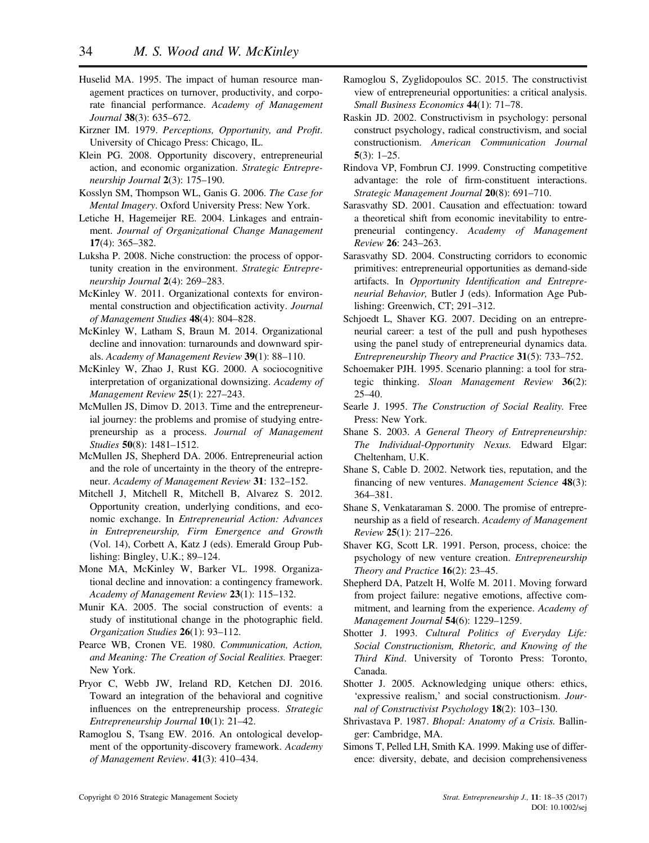- Huselid MA. 1995. The impact of human resource management practices on turnover, productivity, and corporate financial performance. Academy of Management Journal 38(3): 635–672.
- Kirzner IM. 1979. Perceptions, Opportunity, and Profit. University of Chicago Press: Chicago, IL.
- Klein PG. 2008. Opportunity discovery, entrepreneurial action, and economic organization. Strategic Entrepreneurship Journal 2(3): 175–190.
- Kosslyn SM, Thompson WL, Ganis G. 2006. The Case for Mental Imagery. Oxford University Press: New York.
- Letiche H, Hagemeijer RE. 2004. Linkages and entrainment. Journal of Organizational Change Management 17(4): 365–382.
- Luksha P. 2008. Niche construction: the process of opportunity creation in the environment. Strategic Entrepreneurship Journal 2(4): 269–283.
- McKinley W. 2011. Organizational contexts for environmental construction and objectification activity. Journal of Management Studies 48(4): 804–828.
- McKinley W, Latham S, Braun M. 2014. Organizational decline and innovation: turnarounds and downward spirals. Academy of Management Review 39(1): 88–110.
- McKinley W, Zhao J, Rust KG. 2000. A sociocognitive interpretation of organizational downsizing. Academy of Management Review 25(1): 227–243.
- McMullen JS, Dimov D. 2013. Time and the entrepreneurial journey: the problems and promise of studying entrepreneurship as a process. Journal of Management Studies 50(8): 1481–1512.
- McMullen JS, Shepherd DA. 2006. Entrepreneurial action and the role of uncertainty in the theory of the entrepreneur. Academy of Management Review 31: 132–152.
- Mitchell J, Mitchell R, Mitchell B, Alvarez S. 2012. Opportunity creation, underlying conditions, and economic exchange. In Entrepreneurial Action: Advances in Entrepreneurship, Firm Emergence and Growth (Vol. 14), Corbett A, Katz J (eds). Emerald Group Publishing: Bingley, U.K.; 89–124.
- Mone MA, McKinley W, Barker VL. 1998. Organizational decline and innovation: a contingency framework. Academy of Management Review 23(1): 115–132.
- Munir KA. 2005. The social construction of events: a study of institutional change in the photographic field. Organization Studies 26(1): 93–112.
- Pearce WB, Cronen VE. 1980. Communication, Action, and Meaning: The Creation of Social Realities. Praeger: New York.
- Pryor C, Webb JW, Ireland RD, Ketchen DJ. 2016. Toward an integration of the behavioral and cognitive influences on the entrepreneurship process. Strategic Entrepreneurship Journal 10(1): 21–42.
- Ramoglou S, Tsang EW. 2016. An ontological development of the opportunity-discovery framework. Academy of Management Review. 41(3): 410–434.
- Ramoglou S, Zyglidopoulos SC. 2015. The constructivist view of entrepreneurial opportunities: a critical analysis. Small Business Economics 44(1): 71–78.
- Raskin JD. 2002. Constructivism in psychology: personal construct psychology, radical constructivism, and social constructionism. American Communication Journal 5(3): 1–25.
- Rindova VP, Fombrun CJ. 1999. Constructing competitive advantage: the role of firm-constituent interactions. Strategic Management Journal 20(8): 691-710.
- Sarasvathy SD. 2001. Causation and effectuation: toward a theoretical shift from economic inevitability to entrepreneurial contingency. Academy of Management Review 26: 243–263.
- Sarasvathy SD. 2004. Constructing corridors to economic primitives: entrepreneurial opportunities as demand-side artifacts. In Opportunity Identification and Entrepreneurial Behavior, Butler J (eds). Information Age Publishing: Greenwich, CT; 291–312.
- Schjoedt L, Shaver KG. 2007. Deciding on an entrepreneurial career: a test of the pull and push hypotheses using the panel study of entrepreneurial dynamics data. Entrepreneurship Theory and Practice 31(5): 733–752.
- Schoemaker PJH. 1995. Scenario planning: a tool for strategic thinking. Sloan Management Review 36(2): 25–40.
- Searle J. 1995. The Construction of Social Reality. Free Press: New York.
- Shane S. 2003. A General Theory of Entrepreneurship: The Individual-Opportunity Nexus. Edward Elgar: Cheltenham, U.K.
- Shane S, Cable D. 2002. Network ties, reputation, and the financing of new ventures. Management Science 48(3): 364–381.
- Shane S, Venkataraman S. 2000. The promise of entrepreneurship as a field of research. Academy of Management Review 25(1): 217–226.
- Shaver KG, Scott LR. 1991. Person, process, choice: the psychology of new venture creation. Entrepreneurship Theory and Practice 16(2): 23–45.
- Shepherd DA, Patzelt H, Wolfe M. 2011. Moving forward from project failure: negative emotions, affective commitment, and learning from the experience. Academy of Management Journal 54(6): 1229–1259.
- Shotter J. 1993. Cultural Politics of Everyday Life: Social Constructionism, Rhetoric, and Knowing of the Third Kind. University of Toronto Press: Toronto, Canada.
- Shotter J. 2005. Acknowledging unique others: ethics, 'expressive realism,' and social constructionism. Journal of Constructivist Psychology 18(2): 103–130.
- Shrivastava P. 1987. Bhopal: Anatomy of a Crisis. Ballinger: Cambridge, MA.
- Simons T, Pelled LH, Smith KA. 1999. Making use of difference: diversity, debate, and decision comprehensiveness